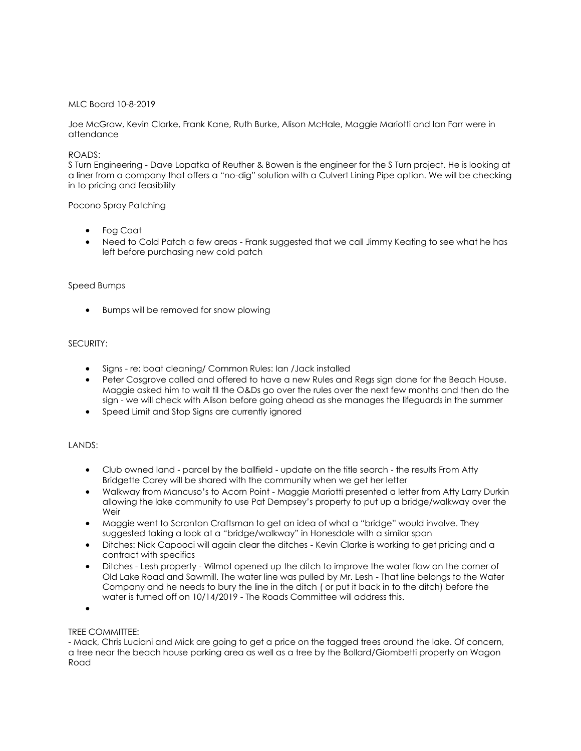## MLC Board 10-8-2019

Joe McGraw, Kevin Clarke, Frank Kane, Ruth Burke, Alison McHale, Maggie Mariotti and Ian Farr were in attendance

#### ROADS:

S Turn Engineering - Dave Lopatka of Reuther & Bowen is the engineer for the S Turn project. He is looking at a liner from a company that offers a "no-dig" solution with a Culvert Lining Pipe option. We will be checking in to pricing and feasibility

#### Pocono Spray Patching

- Fog Coat
- Need to Cold Patch a few areas Frank suggested that we call Jimmy Keating to see what he has left before purchasing new cold patch

#### Speed Bumps

• Bumps will be removed for snow plowing

# SECURITY:

- Signs re: boat cleaning/ Common Rules: Ian /Jack installed
- Peter Cosgrove called and offered to have a new Rules and Regs sign done for the Beach House. Maggie asked him to wait til the O&Ds go over the rules over the next few months and then do the sign - we will check with Alison before going ahead as she manages the lifeguards in the summer
- Speed Limit and Stop Signs are currently ignored

# LANDS:

- Club owned land parcel by the ballfield update on the title search the results From Atty Bridgette Carey will be shared with the community when we get her letter
- Walkway from Mancuso's to Acorn Point Maggie Mariotti presented a letter from Atty Larry Durkin allowing the lake community to use Pat Dempsey's property to put up a bridge/walkway over the Weir
- Maggie went to Scranton Craftsman to get an idea of what a "bridge" would involve. They suggested taking a look at a "bridge/walkway" in Honesdale with a similar span
- Ditches: Nick Capooci will again clear the ditches Kevin Clarke is working to get pricing and a contract with specifics
- Ditches Lesh property Wilmot opened up the ditch to improve the water flow on the corner of Old Lake Road and Sawmill. The water line was pulled by Mr. Lesh - That line belongs to the Water Company and he needs to bury the line in the ditch ( or put it back in to the ditch) before the water is turned off on 10/14/2019 - The Roads Committee will address this.

•

# TREE COMMITTEE:

- Mack, Chris Luciani and Mick are going to get a price on the tagged trees around the lake. Of concern, a tree near the beach house parking area as well as a tree by the Bollard/Giombetti property on Wagon Road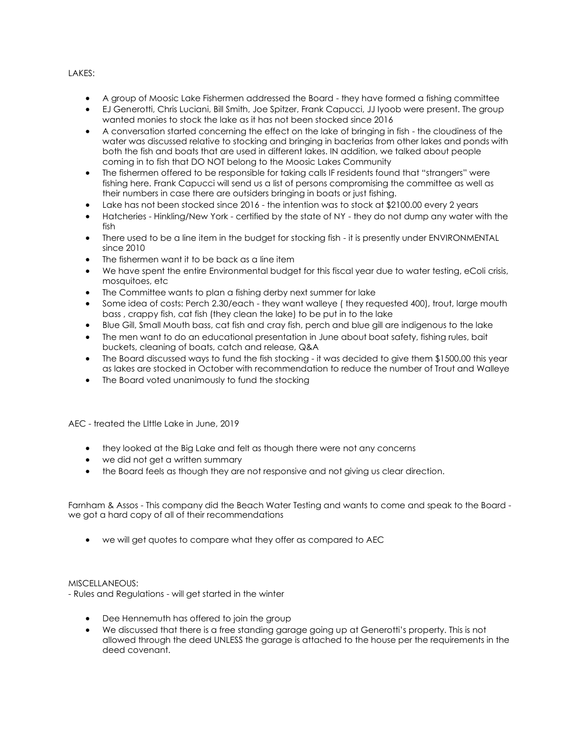## LAKES:

- A group of Moosic Lake Fishermen addressed the Board they have formed a fishing committee
- EJ Generotti, Chris Luciani, Bill Smith, Joe Spitzer, Frank Capucci, JJ Iyoob were present. The group wanted monies to stock the lake as it has not been stocked since 2016
- A conversation started concerning the effect on the lake of bringing in fish the cloudiness of the water was discussed relative to stocking and bringing in bacterias from other lakes and ponds with both the fish and boats that are used in different lakes. IN addition, we talked about people coming in to fish that DO NOT belong to the Moosic Lakes Community
- The fishermen offered to be responsible for taking calls IF residents found that "strangers" were fishing here. Frank Capucci will send us a list of persons compromising the committee as well as their numbers in case there are outsiders bringing in boats or just fishing.
- Lake has not been stocked since 2016 the intention was to stock at \$2100.00 every 2 years
- Hatcheries Hinkling/New York certified by the state of NY they do not dump any water with the fish
- There used to be a line item in the budget for stocking fish it is presently under ENVIRONMENTAL since 2010
- The fishermen want it to be back as a line item
- We have spent the entire Environmental budget for this fiscal year due to water testing, eColi crisis, mosquitoes, etc
- The Committee wants to plan a fishing derby next summer for lake
- Some idea of costs: Perch 2.30/each they want walleye ( they requested 400), trout, large mouth bass , crappy fish, cat fish (they clean the lake) to be put in to the lake
- Blue Gill, Small Mouth bass, cat fish and cray fish, perch and blue gill are indigenous to the lake
- The men want to do an educational presentation in June about boat safety, fishing rules, bait buckets, cleaning of boats, catch and release, Q&A
- The Board discussed ways to fund the fish stocking it was decided to give them \$1500.00 this year as lakes are stocked in October with recommendation to reduce the number of Trout and Walleye
- The Board voted unanimously to fund the stocking

AEC - treated the LIttle Lake in June, 2019

- they looked at the Big Lake and felt as though there were not any concerns
- we did not get a written summary
- the Board feels as though they are not responsive and not giving us clear direction.

Farnham & Assos - This company did the Beach Water Testing and wants to come and speak to the Board we got a hard copy of all of their recommendations

• we will get quotes to compare what they offer as compared to AEC

#### MISCELLANEOUS:

- Rules and Regulations - will get started in the winter

- Dee Hennemuth has offered to join the group
- We discussed that there is a free standing garage going up at Generotti's property. This is not allowed through the deed UNLESS the garage is attached to the house per the requirements in the deed covenant.